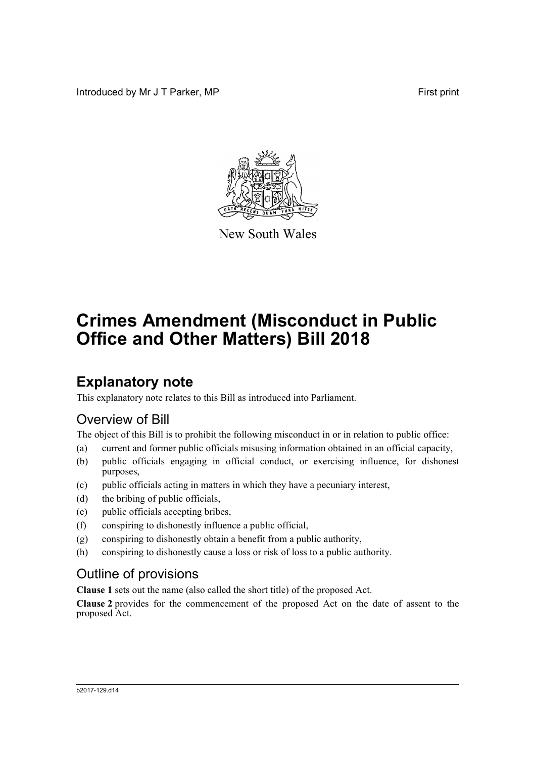Introduced by Mr J T Parker, MP **First** print



New South Wales

# **Crimes Amendment (Misconduct in Public Office and Other Matters) Bill 2018**

## **Explanatory note**

This explanatory note relates to this Bill as introduced into Parliament.

## Overview of Bill

The object of this Bill is to prohibit the following misconduct in or in relation to public office:

- (a) current and former public officials misusing information obtained in an official capacity,
- (b) public officials engaging in official conduct, or exercising influence, for dishonest purposes,
- (c) public officials acting in matters in which they have a pecuniary interest,
- (d) the bribing of public officials,
- (e) public officials accepting bribes,
- (f) conspiring to dishonestly influence a public official,
- (g) conspiring to dishonestly obtain a benefit from a public authority,
- (h) conspiring to dishonestly cause a loss or risk of loss to a public authority.

## Outline of provisions

**Clause 1** sets out the name (also called the short title) of the proposed Act.

**Clause 2** provides for the commencement of the proposed Act on the date of assent to the proposed Act.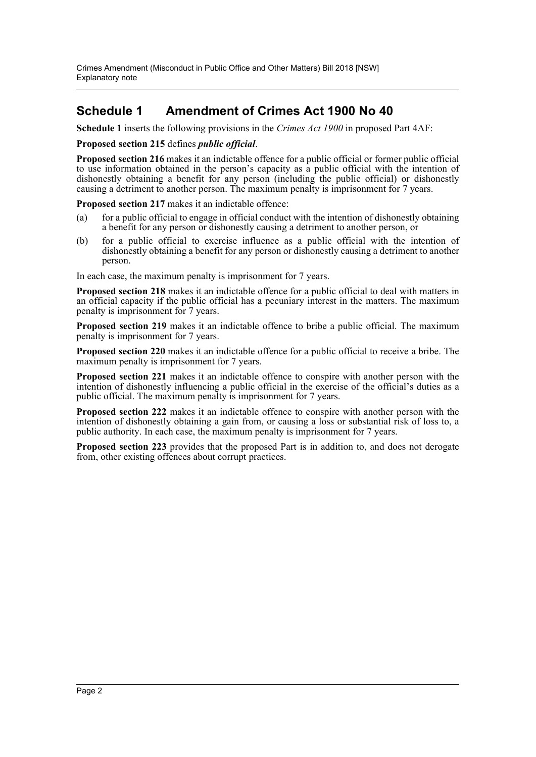### **Schedule 1 Amendment of Crimes Act 1900 No 40**

**Schedule 1** inserts the following provisions in the *Crimes Act 1900* in proposed Part 4AF:

#### **Proposed section 215** defines *public official*.

**Proposed section 216** makes it an indictable offence for a public official or former public official to use information obtained in the person's capacity as a public official with the intention of dishonestly obtaining a benefit for any person (including the public official) or dishonestly causing a detriment to another person. The maximum penalty is imprisonment for 7 years.

**Proposed section 217** makes it an indictable offence:

- (a) for a public official to engage in official conduct with the intention of dishonestly obtaining a benefit for any person or dishonestly causing a detriment to another person, or
- (b) for a public official to exercise influence as a public official with the intention of dishonestly obtaining a benefit for any person or dishonestly causing a detriment to another person.

In each case, the maximum penalty is imprisonment for 7 years.

**Proposed section 218** makes it an indictable offence for a public official to deal with matters in an official capacity if the public official has a pecuniary interest in the matters. The maximum penalty is imprisonment for 7 years.

**Proposed section 219** makes it an indictable offence to bribe a public official. The maximum penalty is imprisonment for 7 years.

**Proposed section 220** makes it an indictable offence for a public official to receive a bribe. The maximum penalty is imprisonment for 7 years.

**Proposed section 221** makes it an indictable offence to conspire with another person with the intention of dishonestly influencing a public official in the exercise of the official's duties as a public official. The maximum penalty is imprisonment for 7 years.

**Proposed section 222** makes it an indictable offence to conspire with another person with the intention of dishonestly obtaining a gain from, or causing a loss or substantial risk of loss to, a public authority. In each case, the maximum penalty is imprisonment for 7 years.

**Proposed section 223** provides that the proposed Part is in addition to, and does not derogate from, other existing offences about corrupt practices.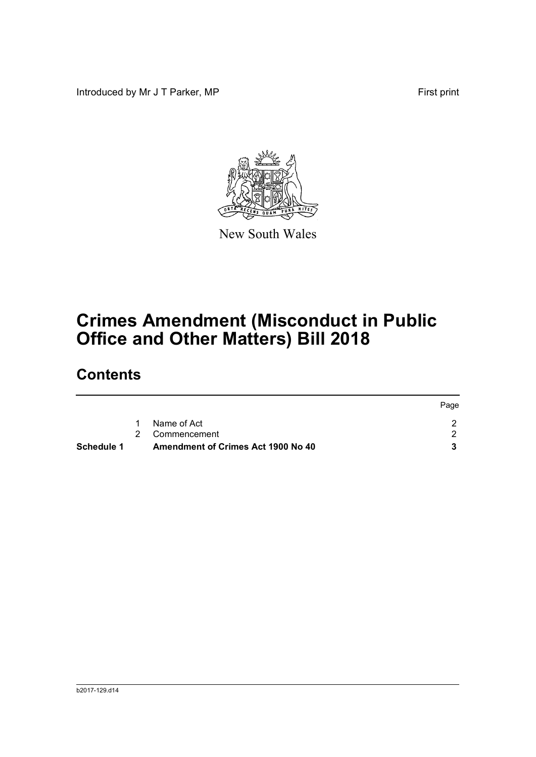Introduced by Mr J T Parker, MP First print



New South Wales

# **Crimes Amendment (Misconduct in Public Office and Other Matters) Bill 2018**

## **Contents**

|                   |                                    | Page |
|-------------------|------------------------------------|------|
|                   | Name of Act                        |      |
|                   | 2 Commencement                     |      |
| <b>Schedule 1</b> | Amendment of Crimes Act 1900 No 40 |      |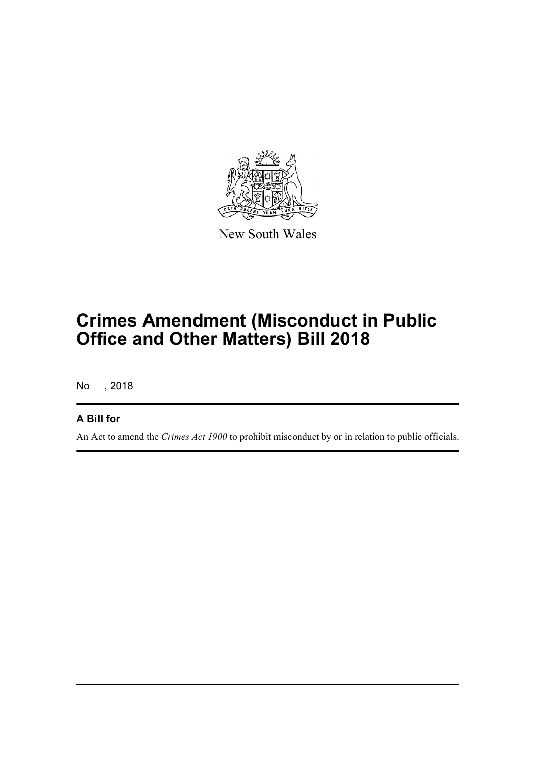

New South Wales

## **Crimes Amendment (Misconduct in Public Office and Other Matters) Bill 2018**

No , 2018

#### **A Bill for**

An Act to amend the *Crimes Act 1900* to prohibit misconduct by or in relation to public officials.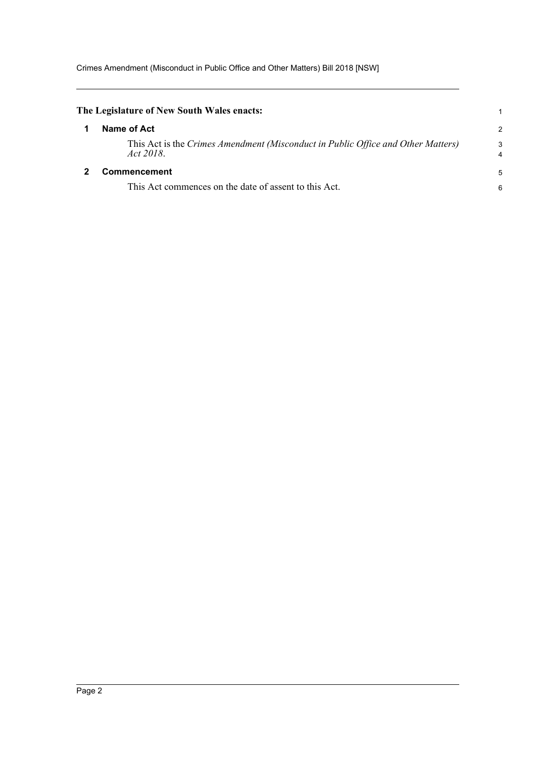<span id="page-4-1"></span><span id="page-4-0"></span>

| The Legislature of New South Wales enacts:                                                    |        |
|-----------------------------------------------------------------------------------------------|--------|
| Name of Act                                                                                   | 2      |
| This Act is the Crimes Amendment (Misconduct in Public Office and Other Matters)<br>Act 2018. | 3<br>4 |
| Commencement                                                                                  | 5      |
| This Act commences on the date of assent to this Act.                                         | 6      |
|                                                                                               |        |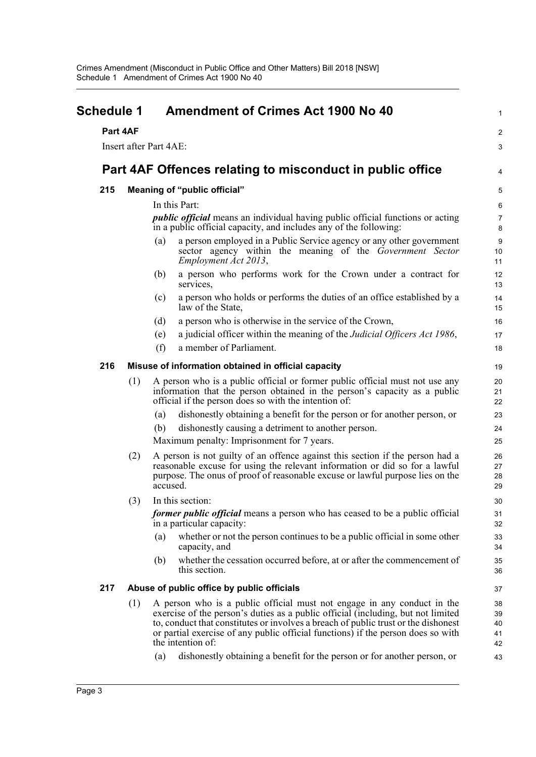<span id="page-5-0"></span>

| <b>Schedule 1</b> |                                                           | <b>Amendment of Crimes Act 1900 No 40</b>                                                                                                                                                                                                                                                                                                                  |                              |  |  |
|-------------------|-----------------------------------------------------------|------------------------------------------------------------------------------------------------------------------------------------------------------------------------------------------------------------------------------------------------------------------------------------------------------------------------------------------------------------|------------------------------|--|--|
|                   | Part 4AF                                                  |                                                                                                                                                                                                                                                                                                                                                            | $\boldsymbol{2}$             |  |  |
|                   |                                                           | <b>Insert after Part 4AE:</b>                                                                                                                                                                                                                                                                                                                              | 3                            |  |  |
|                   |                                                           |                                                                                                                                                                                                                                                                                                                                                            | 4                            |  |  |
|                   | Part 4AF Offences relating to misconduct in public office |                                                                                                                                                                                                                                                                                                                                                            |                              |  |  |
| 215               |                                                           | Meaning of "public official"                                                                                                                                                                                                                                                                                                                               | 5                            |  |  |
|                   |                                                           | In this Part:                                                                                                                                                                                                                                                                                                                                              | 6                            |  |  |
|                   |                                                           | <i>public official</i> means an individual having public official functions or acting<br>in a public official capacity, and includes any of the following:                                                                                                                                                                                                 | $\overline{7}$<br>8          |  |  |
|                   |                                                           | a person employed in a Public Service agency or any other government<br>(a)<br>sector agency within the meaning of the Government Sector<br>Employment Act 2013,                                                                                                                                                                                           | $\boldsymbol{9}$<br>10<br>11 |  |  |
|                   |                                                           | a person who performs work for the Crown under a contract for<br>(b)<br>services,                                                                                                                                                                                                                                                                          | 12<br>13                     |  |  |
|                   |                                                           | a person who holds or performs the duties of an office established by a<br>(c)<br>law of the State,                                                                                                                                                                                                                                                        | 14<br>15                     |  |  |
|                   |                                                           | a person who is otherwise in the service of the Crown,<br>(d)                                                                                                                                                                                                                                                                                              | 16                           |  |  |
|                   |                                                           | a judicial officer within the meaning of the <i>Judicial Officers Act 1986</i> ,<br>(e)                                                                                                                                                                                                                                                                    | 17                           |  |  |
|                   |                                                           | a member of Parliament.<br>(f)                                                                                                                                                                                                                                                                                                                             | 18                           |  |  |
| 216               |                                                           | Misuse of information obtained in official capacity                                                                                                                                                                                                                                                                                                        | 19                           |  |  |
|                   | (1)                                                       | A person who is a public official or former public official must not use any<br>information that the person obtained in the person's capacity as a public<br>official if the person does so with the intention of:                                                                                                                                         | 20<br>21<br>22               |  |  |
|                   |                                                           | dishonestly obtaining a benefit for the person or for another person, or<br>(a)                                                                                                                                                                                                                                                                            | 23                           |  |  |
|                   |                                                           | dishonestly causing a detriment to another person.<br>(b)                                                                                                                                                                                                                                                                                                  | 24                           |  |  |
|                   |                                                           | Maximum penalty: Imprisonment for 7 years.                                                                                                                                                                                                                                                                                                                 | 25                           |  |  |
|                   | (2)                                                       | A person is not guilty of an offence against this section if the person had a<br>reasonable excuse for using the relevant information or did so for a lawful<br>purpose. The onus of proof of reasonable excuse or lawful purpose lies on the<br>accused.                                                                                                  |                              |  |  |
|                   | (3)                                                       | In this section:                                                                                                                                                                                                                                                                                                                                           | 30                           |  |  |
|                   |                                                           | former public official means a person who has ceased to be a public official<br>in a particular capacity:                                                                                                                                                                                                                                                  | 31<br>32                     |  |  |
|                   |                                                           | whether or not the person continues to be a public official in some other<br>(a)<br>capacity, and                                                                                                                                                                                                                                                          | 33<br>34                     |  |  |
|                   |                                                           | whether the cessation occurred before, at or after the commencement of<br>(b)<br>this section.                                                                                                                                                                                                                                                             | 35<br>36                     |  |  |
| 217               |                                                           | Abuse of public office by public officials                                                                                                                                                                                                                                                                                                                 | 37                           |  |  |
|                   | (1)                                                       | A person who is a public official must not engage in any conduct in the<br>exercise of the person's duties as a public official (including, but not limited<br>to, conduct that constitutes or involves a breach of public trust or the dishonest<br>or partial exercise of any public official functions) if the person does so with<br>the intention of: | 38<br>39<br>40<br>41<br>42   |  |  |
|                   |                                                           | dishonestly obtaining a benefit for the person or for another person, or<br>(a)                                                                                                                                                                                                                                                                            | 43                           |  |  |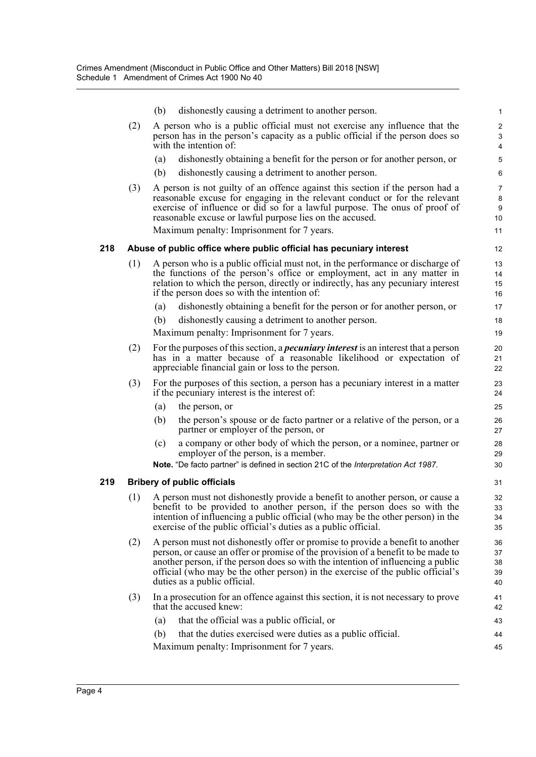|     |     | (b)<br>dishonestly causing a detriment to another person.                                                                                                                                                                                                                                                                                                                 | $\mathbf{1}$                          |  |  |
|-----|-----|---------------------------------------------------------------------------------------------------------------------------------------------------------------------------------------------------------------------------------------------------------------------------------------------------------------------------------------------------------------------------|---------------------------------------|--|--|
|     | (2) | A person who is a public official must not exercise any influence that the<br>person has in the person's capacity as a public official if the person does so<br>with the intention of:                                                                                                                                                                                    | $\overline{2}$<br>3<br>$\overline{4}$ |  |  |
|     |     | dishonestly obtaining a benefit for the person or for another person, or<br>(a)                                                                                                                                                                                                                                                                                           | 5                                     |  |  |
|     |     | dishonestly causing a detriment to another person.<br>(b)                                                                                                                                                                                                                                                                                                                 | 6                                     |  |  |
|     | (3) | A person is not guilty of an offence against this section if the person had a<br>reasonable excuse for engaging in the relevant conduct or for the relevant<br>exercise of influence or did so for a lawful purpose. The onus of proof of<br>reasonable excuse or lawful purpose lies on the accused.                                                                     | 7<br>8<br>9<br>10                     |  |  |
|     |     | Maximum penalty: Imprisonment for 7 years.                                                                                                                                                                                                                                                                                                                                | 11                                    |  |  |
| 218 |     | Abuse of public office where public official has pecuniary interest                                                                                                                                                                                                                                                                                                       | 12                                    |  |  |
|     | (1) | A person who is a public official must not, in the performance or discharge of<br>the functions of the person's office or employment, act in any matter in<br>relation to which the person, directly or indirectly, has any pecuniary interest<br>if the person does so with the intention of:                                                                            | 13<br>14<br>15<br>16                  |  |  |
|     |     | dishonestly obtaining a benefit for the person or for another person, or<br>(a)                                                                                                                                                                                                                                                                                           | 17                                    |  |  |
|     |     | (b)<br>dishonestly causing a detriment to another person.                                                                                                                                                                                                                                                                                                                 | 18                                    |  |  |
|     |     | Maximum penalty: Imprisonment for 7 years.                                                                                                                                                                                                                                                                                                                                | 19                                    |  |  |
|     | (2) | For the purposes of this section, a <i>pecuniary interest</i> is an interest that a person<br>has in a matter because of a reasonable likelihood or expectation of<br>appreciable financial gain or loss to the person.                                                                                                                                                   | 20<br>21<br>22                        |  |  |
|     | (3) | For the purposes of this section, a person has a pecuniary interest in a matter<br>if the pecuniary interest is the interest of:                                                                                                                                                                                                                                          | 23<br>24                              |  |  |
|     |     | (a)<br>the person, or                                                                                                                                                                                                                                                                                                                                                     | 25                                    |  |  |
|     |     | (b)<br>the person's spouse or de facto partner or a relative of the person, or a<br>partner or employer of the person, or                                                                                                                                                                                                                                                 | 26<br>27                              |  |  |
|     |     | a company or other body of which the person, or a nominee, partner or<br>(c)<br>employer of the person, is a member.<br>Note. "De facto partner" is defined in section 21C of the Interpretation Act 1987.                                                                                                                                                                | 28<br>29<br>30                        |  |  |
|     |     |                                                                                                                                                                                                                                                                                                                                                                           |                                       |  |  |
| 219 |     | <b>Bribery of public officials</b>                                                                                                                                                                                                                                                                                                                                        | 31                                    |  |  |
|     | (1) | A person must not dishonestly provide a benefit to another person, or cause a<br>benefit to be provided to another person, if the person does so with the<br>intention of influencing a public official (who may be the other person) in the<br>exercise of the public official's duties as a public official.                                                            |                                       |  |  |
|     | (2) | A person must not dishonestly offer or promise to provide a benefit to another<br>person, or cause an offer or promise of the provision of a benefit to be made to<br>another person, if the person does so with the intention of influencing a public<br>official (who may be the other person) in the exercise of the public official's<br>duties as a public official. | 36<br>37<br>38<br>39<br>40            |  |  |
|     | (3) | In a prosecution for an offence against this section, it is not necessary to prove<br>that the accused knew:                                                                                                                                                                                                                                                              | 41<br>42                              |  |  |
|     |     | that the official was a public official, or<br>(a)                                                                                                                                                                                                                                                                                                                        | 43                                    |  |  |
|     |     | that the duties exercised were duties as a public official.<br>(b)                                                                                                                                                                                                                                                                                                        | 44                                    |  |  |
|     |     | Maximum penalty: Imprisonment for 7 years.                                                                                                                                                                                                                                                                                                                                | 45                                    |  |  |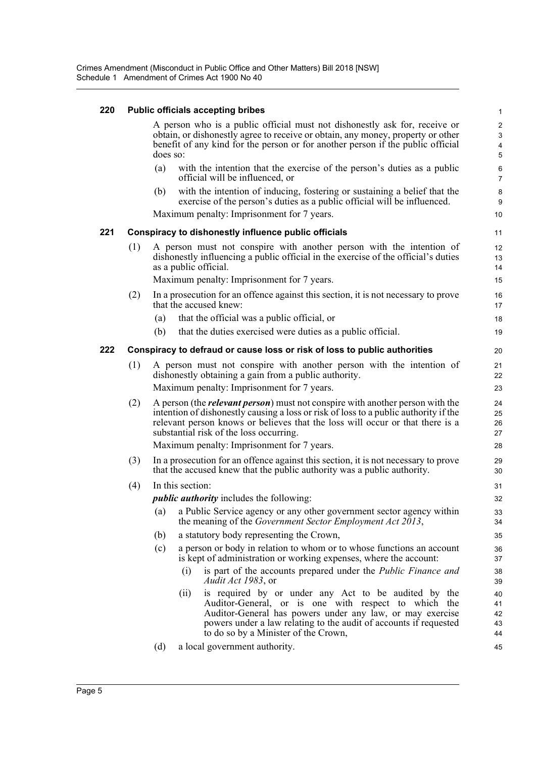#### **220 Public officials accepting bribes**

| 220 |                                                                                                                                                                                                                                                              |     |                                                                                                                                                                             | Public officials accepting bribes                                                                                                                                                                                                                                                                         | 1                          |  |
|-----|--------------------------------------------------------------------------------------------------------------------------------------------------------------------------------------------------------------------------------------------------------------|-----|-----------------------------------------------------------------------------------------------------------------------------------------------------------------------------|-----------------------------------------------------------------------------------------------------------------------------------------------------------------------------------------------------------------------------------------------------------------------------------------------------------|----------------------------|--|
|     | A person who is a public official must not dishonestly ask for, receive or<br>obtain, or dishonestly agree to receive or obtain, any money, property or other<br>benefit of any kind for the person or for another person if the public official<br>does so: |     |                                                                                                                                                                             |                                                                                                                                                                                                                                                                                                           |                            |  |
|     |                                                                                                                                                                                                                                                              | (a) |                                                                                                                                                                             | with the intention that the exercise of the person's duties as a public<br>official will be influenced, or                                                                                                                                                                                                | 6<br>$\overline{7}$        |  |
|     |                                                                                                                                                                                                                                                              | (b) |                                                                                                                                                                             | with the intention of inducing, fostering or sustaining a belief that the<br>exercise of the person's duties as a public official will be influenced.                                                                                                                                                     | 8<br>9                     |  |
|     |                                                                                                                                                                                                                                                              |     |                                                                                                                                                                             | Maximum penalty: Imprisonment for 7 years.                                                                                                                                                                                                                                                                | 10                         |  |
| 221 | Conspiracy to dishonestly influence public officials                                                                                                                                                                                                         |     |                                                                                                                                                                             |                                                                                                                                                                                                                                                                                                           |                            |  |
|     | (1)                                                                                                                                                                                                                                                          |     |                                                                                                                                                                             | A person must not conspire with another person with the intention of<br>dishonestly influencing a public official in the exercise of the official's duties<br>as a public official.                                                                                                                       | 12<br>13<br>14             |  |
|     |                                                                                                                                                                                                                                                              |     |                                                                                                                                                                             | Maximum penalty: Imprisonment for 7 years.                                                                                                                                                                                                                                                                | 15                         |  |
|     | (2)                                                                                                                                                                                                                                                          |     |                                                                                                                                                                             | In a prosecution for an offence against this section, it is not necessary to prove<br>that the accused knew:                                                                                                                                                                                              | 16<br>17                   |  |
|     |                                                                                                                                                                                                                                                              | (a) |                                                                                                                                                                             | that the official was a public official, or                                                                                                                                                                                                                                                               | 18                         |  |
|     |                                                                                                                                                                                                                                                              | (b) |                                                                                                                                                                             | that the duties exercised were duties as a public official.                                                                                                                                                                                                                                               | 19                         |  |
| 222 | Conspiracy to defraud or cause loss or risk of loss to public authorities                                                                                                                                                                                    |     |                                                                                                                                                                             |                                                                                                                                                                                                                                                                                                           |                            |  |
|     | (1)                                                                                                                                                                                                                                                          |     | A person must not conspire with another person with the intention of<br>dishonestly obtaining a gain from a public authority.<br>Maximum penalty: Imprisonment for 7 years. |                                                                                                                                                                                                                                                                                                           |                            |  |
|     | (2)                                                                                                                                                                                                                                                          |     |                                                                                                                                                                             | A person (the <i>relevant person</i> ) must not conspire with another person with the<br>intention of dishonestly causing a loss or risk of loss to a public authority if the<br>relevant person knows or believes that the loss will occur or that there is a<br>substantial risk of the loss occurring. | 24<br>25<br>26<br>27       |  |
|     |                                                                                                                                                                                                                                                              |     |                                                                                                                                                                             | Maximum penalty: Imprisonment for 7 years.                                                                                                                                                                                                                                                                | 28                         |  |
|     | (3)                                                                                                                                                                                                                                                          |     | In a prosecution for an offence against this section, it is not necessary to prove<br>that the accused knew that the public authority was a public authority.               |                                                                                                                                                                                                                                                                                                           |                            |  |
|     | (4)                                                                                                                                                                                                                                                          |     | In this section:                                                                                                                                                            |                                                                                                                                                                                                                                                                                                           | 31                         |  |
|     |                                                                                                                                                                                                                                                              |     |                                                                                                                                                                             | <i>public authority</i> includes the following:                                                                                                                                                                                                                                                           | 32                         |  |
|     |                                                                                                                                                                                                                                                              |     |                                                                                                                                                                             | (a) a Public Service agency or any other government sector agency within<br>the meaning of the <i>Government Sector Employment Act 2013</i> ,                                                                                                                                                             | 33<br>34                   |  |
|     |                                                                                                                                                                                                                                                              | (b) |                                                                                                                                                                             | a statutory body representing the Crown,                                                                                                                                                                                                                                                                  | 35                         |  |
|     |                                                                                                                                                                                                                                                              | (c) |                                                                                                                                                                             | a person or body in relation to whom or to whose functions an account<br>is kept of administration or working expenses, where the account:                                                                                                                                                                | 36<br>37                   |  |
|     |                                                                                                                                                                                                                                                              |     | (i)                                                                                                                                                                         | is part of the accounts prepared under the <i>Public Finance and</i><br>Audit Act 1983, or                                                                                                                                                                                                                | 38<br>39                   |  |
|     |                                                                                                                                                                                                                                                              |     | (ii)                                                                                                                                                                        | is required by or under any Act to be audited by the<br>Auditor-General, or is one with respect to which the<br>Auditor-General has powers under any law, or may exercise<br>powers under a law relating to the audit of accounts if requested<br>to do so by a Minister of the Crown,                    | 40<br>41<br>42<br>43<br>44 |  |
|     |                                                                                                                                                                                                                                                              | (d) |                                                                                                                                                                             | a local government authority.                                                                                                                                                                                                                                                                             | 45                         |  |
|     |                                                                                                                                                                                                                                                              |     |                                                                                                                                                                             |                                                                                                                                                                                                                                                                                                           |                            |  |